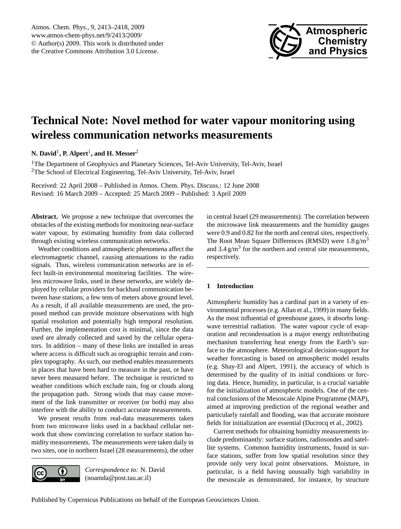

# <span id="page-0-0"></span>**Technical Note: Novel method for water vapour monitoring using wireless communication networks measurements**

**N. David**<sup>1</sup> **, P. Alpert**<sup>1</sup> **, and H. Messer**<sup>2</sup>

<sup>1</sup>The Department of Geophysics and Planetary Sciences, Tel-Aviv University, Tel-Aviv, Israel <sup>2</sup>The School of Electrical Engineering, Tel-Aviv University, Tel-Aviv, Israel

Received: 22 April 2008 – Published in Atmos. Chem. Phys. Discuss.: 12 June 2008 Revised: 16 March 2009 – Accepted: 25 March 2009 – Published: 3 April 2009

**Abstract.** We propose a new technique that overcomes the obstacles of the existing methods for monitoring near-surface water vapour, by estimating humidity from data collected through existing wireless communication networks.

Weather conditions and atmospheric phenomena affect the electromagnetic channel, causing attenuations to the radio signals. Thus, wireless communication networks are in effect built-in environmental monitoring facilities. The wireless microwave links, used in these networks, are widely deployed by cellular providers for backhaul communication between base stations, a few tens of meters above ground level. As a result, if all available measurements are used, the proposed method can provide moisture observations with high spatial resolution and potentially high temporal resolution. Further, the implementation cost is minimal, since the data used are already collected and saved by the cellular operators. In addition – many of these links are installed in areas where access is difficult such as orographic terrain and complex topography. As such, our method enables measurements in places that have been hard to measure in the past, or have never been measured before. The technique is restricted to weather conditions which exclude rain, fog or clouds along the propagation path. Strong winds that may cause movement of the link transmitter or receiver (or both) may also interfere with the ability to conduct accurate measurements.

We present results from real-data measurements taken from two microwave links used in a backhaul cellular network that show convincing correlation to surface station humidity measurements. The measurements were taken daily in two sites, one in northern Israel (28 measurements), the other



*Correspondence to:* N. David (noamda@post.tau.ac.il)

in central Israel (29 measurements). The correlation between the microwave link measurements and the humidity gauges were 0.9 and 0.82 for the north and central sites, respectively. The Root Mean Square Differences (RMSD) were  $1.8 \text{ g/m}^3$ and  $3.4 \text{ g/m}^3$  for the northern and central site measurements, respectively.

# **1 Introduction**

Atmospheric humidity has a cardinal part in a variety of environmental processes (e.g. Allan et al., 1999) in many fields. As the most influential of greenhouse gases, it absorbs longwave terrestrial radiation. The water vapour cycle of evaporation and recondensation is a major energy redistributing mechanism transferring heat energy from the Earth's surface to the atmosphere. Meteorological decision-support for weather forecasting is based on atmospheric model results (e.g. Shay-El and Alpert, 1991), the accuracy of which is determined by the quality of its initial conditions or forcing data. Hence, humidity, in particular, is a crucial variable for the initialization of atmospheric models. One of the central conclusions of the Mesoscale Alpine Programme (MAP), aimed at improving prediction of the regional weather and particularly rainfall and flooding, was that accurate moisture fields for initialization are essential (Ducrocq et al., 2002).

Current methods for obtaining humidity measurements include predominantly: surface stations, radiosondes and satellite systems. Common humidity instruments, found in surface stations, suffer from low spatial resolution since they provide only very local point observations. Moisture, in particular, is a field having unusually high variability in the mesoscale as demonstrated, for instance, by structure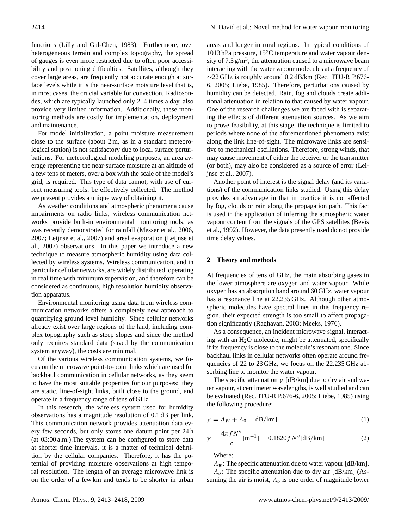functions (Lilly and Gal-Chen, 1983). Furthermore, over heterogeneous terrain and complex topography, the spread of gauges is even more restricted due to often poor accessibility and positioning difficulties. Satellites, although they cover large areas, are frequently not accurate enough at surface levels while it is the near-surface moisture level that is, in most cases, the crucial variable for convection. Radiosondes, which are typically launched only 2–4 times a day, also provide very limited information. Additionally, these monitoring methods are costly for implementation, deployment and maintenance.

For model initialization, a point moisture measurement close to the surface (about 2 m, as in a standard meteorological station) is not satisfactory due to local surface perturbations. For meteorological modeling purposes, an area average representing the near-surface moisture at an altitude of a few tens of meters, over a box with the scale of the model's grid, is required. This type of data cannot, with use of current measuring tools, be effectively collected. The method we present provides a unique way of obtaining it.

As weather conditions and atmospheric phenomena cause impairments on radio links, wireless communication networks provide built-in environmental monitoring tools, as was recently demonstrated for rainfall (Messer et al., 2006, 2007; Leijnse et al., 2007) and areal evaporation (Leijnse et al., 2007) observations. In this paper we introduce a new technique to measure atmospheric humidity using data collected by wireless systems. Wireless communication, and in particular cellular networks, are widely distributed, operating in real time with minimum supervision, and therefore can be considered as continuous, high resolution humidity observation apparatus.

Environmental monitoring using data from wireless communication networks offers a completely new approach to quantifying ground level humidity. Since cellular networks already exist over large regions of the land, including complex topography such as steep slopes and since the method only requires standard data (saved by the communication system anyway), the costs are minimal.

Of the various wireless communication systems, we focus on the microwave point-to-point links which are used for backhaul communication in cellular networks, as they seem to have the most suitable properties for our purposes: they are static, line-of-sight links, built close to the ground, and operate in a frequency range of tens of GHz.

In this research, the wireless system used for humidity observations has a magnitude resolution of 0.1 dB per link. This communication network provides attenuation data every few seconds, but only stores one datum point per 24 h (at 03:00 a.m.).The system can be configured to store data at shorter time intervals, it is a matter of technical definition by the cellular companies. Therefore, it has the potential of providing moisture observations at high temporal resolution. The length of an average microwave link is on the order of a few km and tends to be shorter in urban

areas and longer in rural regions. In typical conditions of 1013 hPa pressure, 15◦C temperature and water vapour density of  $7.5 \text{ g/m}^3$ , the attenuation caused to a microwave beam interacting with the water vapour molecules at a frequency of  $\sim$ 22 GHz is roughly around 0.2 dB/km (Rec. ITU-R P.676-6, 2005; Liebe, 1985). Therefore, perturbations caused by humidity can be detected. Rain, fog and clouds create additional attenuation in relation to that caused by water vapour. One of the research challenges we are faced with is separating the effects of different attenuation sources. As we aim to prove feasibility, at this stage, the technique is limited to periods where none of the aforementioned phenomena exist along the link line-of-sight. The microwave links are sensitive to mechanical oscillations. Therefore, strong winds, that may cause movement of either the receiver or the transmitter (or both), may also be considered as a source of error (Leijnse et al., 2007).

Another point of interest is the signal delay (and its variations) of the communication links studied. Using this delay provides an advantage in that in practice it is not affected by fog, clouds or rain along the propagation path. This fact is used in the application of inferring the atmospheric water vapour content from the signals of the GPS satellites (Bevis et al., 1992). However, the data presently used do not provide time delay values.

## **2 Theory and methods**

At frequencies of tens of GHz, the main absorbing gases in the lower atmosphere are oxygen and water vapour. While oxygen has an absorption band around 60 GHz, water vapour has a resonance line at 22.235 GHz. Although other atmospheric molecules have spectral lines in this frequency region, their expected strength is too small to affect propagation significantly (Raghavan, 2003; Meeks, 1976).

As a consequence, an incident microwave signal, interacting with an  $H<sub>2</sub>O$  molecule, might be attenuated, specifically if its frequency is close to the molecule's resonant one. Since backhaul links in cellular networks often operate around frequencies of 22 to 23 GHz, we focus on the 22.235 GHz absorbing line to monitor the water vapour.

The specific attenuation  $\gamma$  [dB/km] due to dry air and water vapour, at centimeter wavelengths, is well studied and can be evaluated (Rec. ITU-R P.676-6, 2005; Liebe, 1985) using the following procedure:

$$
\gamma = A_W + A_0 \quad \text{[dB/km]} \tag{1}
$$

$$
\gamma = \frac{4\pi f N''}{c} [m^{-1}] = 0.1820 f N''[dB/km]
$$
 (2)

Where:

 $A_w$ : The specific attenuation due to water vapour [dB/km].  $A<sub>o</sub>$ : The specific attenuation due to dry air [dB/km] (Assuming the air is moist,  $A<sub>o</sub>$  is one order of magnitude lower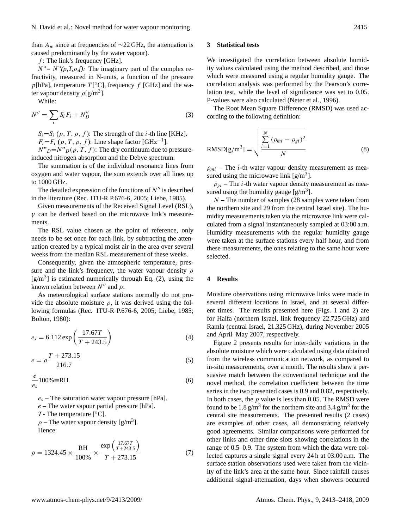than  $A_w$  since at frequencies of ∼22 GHz, the attenuation is caused predominantly by the water vapour).

 $f$ : The link's frequency [GHz].

 $N'' = N''(p,T,\rho,f)$ : The imaginary part of the complex refractivity, measured in N-units, a function of the pressure  $p[hPa]$ , temperature  $T[^{\circ}C]$ , frequency  $f$  [GHz] and the water vapour density  $\rho[g/m^3]$ .

While:

$$
N'' = \sum_{i} S_i F_i + N''_D \tag{3}
$$

 $S_i = S_i$  (p, T,  $\rho$ , f): The strength of the *i*-th line [KHz].  $F_i = F_i (p, T, \rho, f)$ : Line shape factor [GHz<sup>-1</sup>].

 $N''_D=N''_D(p, T, f)$ : The dry continuum due to pressureinduced nitrogen absorption and the Debye spectrum.

The summation is of the individual resonance lines from oxygen and water vapour, the sum extends over all lines up to 1000 GHz.

The detailed expression of the functions of  $N''$  is described in the literature (Rec. ITU-R P.676-6, 2005; Liebe, 1985).

Given measurements of the Received Signal Level (RSL),  $\gamma$  can be derived based on the microwave link's measurements.

The RSL value chosen as the point of reference, only needs to be set once for each link, by subtracting the attenuation created by a typical moist air in the area over several weeks from the median RSL measurement of these weeks.

Consequently, given the atmospheric temperature, pressure and the link's frequency, the water vapour density  $\rho$  $[g/m<sup>3</sup>]$  is estimated numerically through Eq. (2), using the known relation between  $N''$  and  $\rho$ .

As meteorological surface stations normally do not provide the absolute moisture  $\rho$ , it was derived using the following formulas (Rec. ITU-R P.676-6, 2005; Liebe, 1985; Bolton, 1980):

$$
e_s = 6.112 \exp\left(\frac{17.67T}{T + 243.5}\right)
$$
 (4)

$$
e = \rho \frac{T + 273.15}{216.7}
$$
 (5)

$$
\frac{e}{e_s}100\% \equiv \text{RH} \tag{6}
$$

 $e_s$  – The saturation water vapour pressure [hPa].

 $e$  – The water vapour partial pressure [hPa].

T - The temperature  $[°C]$ .

 $\rho$  – The water vapour density [g/m<sup>3</sup>]. Hence:

$$
\rho = 1324.45 \times \frac{\text{RH}}{100\%} \times \frac{\exp\left(\frac{17.67T}{T+243.5}\right)}{T+273.15} \tag{7}
$$

### **3 Statistical tests**

We investigated the correlation between absolute humidity values calculated using the method described, and those which were measured using a regular humidity gauge. The correlation analysis was performed by the Pearson's correlation test, while the level of significance was set to 0.05. P-values were also calculated (Neter et al., 1996).

The Root Mean Square Difference (RMSD) was used according to the following definition:

$$
RMSD[g/m3] = \sqrt{\frac{\sum_{i=1}^{N} (\rho_{mi} - \rho_{gi})^2}{N}}
$$
\n(8)

 $\rho_{mi}$  – The *i*-th water vapour density measurement as measured using the microwave link  $[g/m^3]$ .

 $\rho_{qi}$  – The *i*-th water vapour density measurement as measured using the humidity gauge  $[g/m^3]$ .

 $N$  – The number of samples (28 samples were taken from the northern site and 29 from the central Israel site). The humidity measurements taken via the microwave link were calculated from a signal instantaneously sampled at 03:00 a.m. Humidity measurements with the regular humidity gauge were taken at the surface stations every half hour, and from these measurements, the ones relating to the same hour were selected.

#### **4 Results**

Moisture observations using microwave links were made in several different locations in Israel, and at several different times. The results presented here (Figs. 1 and 2) are for Haifa (northern Israel, link frequency 22.725 GHz) and Ramla (central Israel, 21.325 GHz), during November 2005 and April–May 2007, respectively.

Figure 2 presents results for inter-daily variations in the absolute moisture which were calculated using data obtained from the wireless communication network, as compared to in-situ measurements, over a month. The results show a persuasive match between the conventional technique and the novel method, the correlation coefficient between the time series in the two presented cases is 0.9 and 0.82, respectively. In both cases, the  $p$  value is less than 0.05. The RMSD were found to be 1.8  $g/m^3$  for the northern site and 3.4  $g/m^3$  for the central site measurements. The presented results (2 cases) are examples of other cases, all demonstrating relatively good agreements. Similar comparisons were performed for other links and other time slots showing correlations in the range of 0.5–0.9. The system from which the data were collected captures a single signal every 24 h at 03:00 a.m. The surface station observations used were taken from the vicinity of the link's area at the same hour. Since rainfall causes additional signal-attenuation, days when showers occurred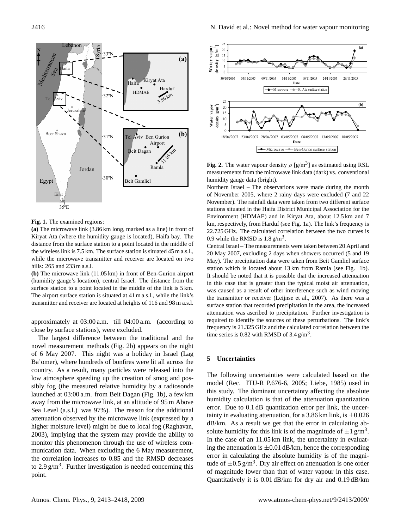

**Fig. 1.** The examined regions:

**(a)** The microwave link (3.86 km long, marked as a line) in front of Kiryat Ata (where the humidity gauge is located), Haifa bay. The distance from the surface station to a point located in the middle of the wireless link is 7.5 km. The surface station is situated 45 m a.s.l., while the microwave transmitter and receiver are located on two hills: 265 and 233 m a.s.l.

**(b)** The microwave link (11.05 km) in front of Ben-Gurion airport (humidity gauge's location), central Israel. The distance from the surface station to a point located in the middle of the link is 5 km. The airport surface station is situated at 41 m a.s.l., while the link's transmitter and receiver are located at heights of 116 and 98 m a.s.l.

approximately at 03:00 a.m. till 04:00 a.m. (according to close by surface stations), were excluded.

The largest difference between the traditional and the novel measurement methods (Fig. 2b) appears on the night of 6 May 2007. This night was a holiday in Israel (Lag Ba'omer), where hundreds of bonfires were lit all across the country. As a result, many particles were released into the low atmosphere speeding up the creation of smog and possibly fog (the measured relative humidity by a radiosonde launched at 03:00 a.m. from Beit Dagan (Fig. 1b), a few km away from the microwave link, at an altitude of 95 m Above Sea Level (a.s.l.) was 97%). The reason for the additional attenuation observed by the microwave link (expressed by a higher moisture level) might be due to local fog (Raghavan, 2003), implying that the system may provide the ability to monitor this phenomenon through the use of wireless communication data. When excluding the 6 May measurement, the correlation increases to 0.85 and the RMSD decreases to  $2.9 \text{ g/m}^3$ . Further investigation is needed concerning this point.



**Fig. 2.** The water vapour density  $\rho$  [g/m<sup>3</sup>] as estimated using RSL measurements from the microwave link data (dark) vs. conventional humidity gauge data (bright).

Northern Israel – The observations were made during the month of November 2005, where 2 rainy days were excluded (7 and 22 November). The rainfall data were taken from two different surface stations situated in the Haifa District Municipal Association for the Environment (HDMAE) and in Kiryat Ata, about 12.5 km and 7 km, respectively, from Harduf (see Fig. 1a). The link's frequency is 22.725 GHz. The calculated correlation between the two curves is 0.9 while the RMSD is  $1.8 \text{ g/m}^3$ .

Central Israel – The measurements were taken between 20 April and 20 May 2007, excluding 2 days when showers occurred (5 and 19 May). The precipitation data were taken from Beit Gamliel surface station which is located about 13 km from Ramla (see Fig. 1b). It should be noted that it is possible that the increased attenuation in this case that is greater than the typical moist air attenuation, was caused as a result of other interference such as wind moving the transmitter or receiver (Leijnse et al., 2007). As there was a surface station that recorded precipitation in the area, the increased attenuation was ascribed to precipitation. Further investigation is required to identify the sources of these perturbations. The link's frequency is 21.325 GHz and the calculated correlation between the time series is 0.82 with RMSD of  $3.4 \text{ g/m}^3$ .

#### **5 Uncertainties**

The following uncertainties were calculated based on the model (Rec. ITU-R P.676-6, 2005; Liebe, 1985) used in this study. The dominant uncertainty affecting the absolute humidity calculation is that of the attenuation quantization error. Due to 0.1 dB quantization error per link, the uncertainty in evaluating attenuation, for a 3.86 km link, is  $\pm 0.026$ dB/km. As a result we get that the error in calculating absolute humidity for this link is of the magnitude of  $\pm 1$  g/m<sup>3</sup>. In the case of an 11.05 km link, the uncertainty in evaluating the attenuation is  $\pm 0.01$  dB/km, hence the corresponding error in calculating the absolute humidity is of the magnitude of  $\pm 0.5$  g/m<sup>3</sup>. Dry air effect on attenuation is one order of magnitude lower than that of water vapour in this case. Quantitatively it is 0.01 dB/km for dry air and 0.19 dB/km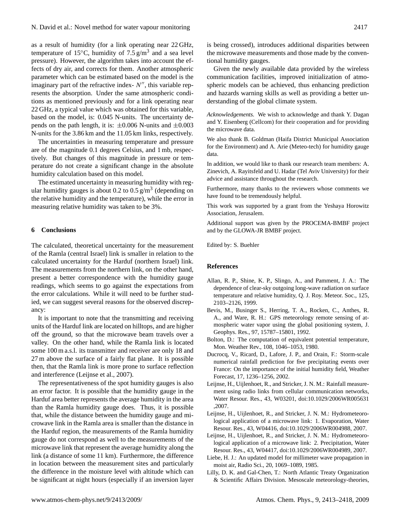as a result of humidity (for a link operating near 22 GHz, temperature of 15 $\degree$ C, humidity of 7.5 g/m<sup>3</sup> and a sea level pressure). However, the algorithm takes into account the effects of dry air, and corrects for them. Another atmospheric parameter which can be estimated based on the model is the imaginary part of the refractive index- $N''$ , this variable represents the absorption. Under the same atmospheric conditions as mentioned previously and for a link operating near 22 GHz, a typical value which was obtained for this variable, based on the model, is: 0.045 N-units. The uncertainty depends on the path length, it is:  $\pm 0.006$  N-units and  $\pm 0.003$ N-units for the 3.86 km and the 11.05 km links, respectively.

The uncertainties in measuring temperature and pressure are of the magnitude 0.1 degrees Celsius, and 1 mb, respectively. But changes of this magnitude in pressure or temperature do not create a significant change in the absolute humidity calculation based on this model.

The estimated uncertainty in measuring humidity with regular humidity gauges is about 0.2 to 0.5  $\text{g/m}^3$  (depending on the relative humidity and the temperature), while the error in measuring relative humidity was taken to be 3%.

#### **6 Conclusions**

The calculated, theoretical uncertainty for the measurement of the Ramla (central Israel) link is smaller in relation to the calculated uncertainty for the Harduf (northern Israel) link. The measurements from the northern link, on the other hand, present a better correspondence with the humidity gauge readings, which seems to go against the expectations from the error calculations. While it will need to be further studied, we can suggest several reasons for the observed discrepancy:

It is important to note that the transmitting and receiving units of the Harduf link are located on hilltops, and are higher off the ground, so that the microwave beam travels over a valley. On the other hand, while the Ramla link is located some 100 m a.s.l. its transmitter and receiver are only 18 and 27 m above the surface of a fairly flat plane. It is possible then, that the Ramla link is more prone to surface reflection and interference (Leijnse et al., 2007).

The representativeness of the spot humidity gauges is also an error factor. It is possible that the humidity gauge in the Harduf area better represents the average humidity in the area than the Ramla humidity gauge does. Thus, it is possible that, while the distance between the humidity gauge and microwave link in the Ramla area is smaller than the distance in the Harduf region, the measurements of the Ramla humidity gauge do not correspond as well to the measurements of the microwave link that represent the average humidity along the link (a distance of some 11 km). Furthermore, the difference in location between the measurement sites and particularly the difference in the moisture level with altitude which can be significant at night hours (especially if an inversion layer is being crossed), introduces additional disparities between the microwave measurements and those made by the conventional humidity gauges.

Given the newly available data provided by the wireless communication facilities, improved initialization of atmospheric models can be achieved, thus enhancing prediction and hazards warning skills as well as providing a better understanding of the global climate system.

*Acknowledgements.* We wish to acknowledge and thank Y. Dagan and Y. Eisenberg (Cellcom) for their cooperation and for providing the microwave data.

We also thank B. Goldman (Haifa District Municipal Association for the Environment) and A. Arie (Meteo-tech) for humidity gauge data.

In addition, we would like to thank our research team members: A. Zinevich, A. Rayitsfeld and U. Hadar (Tel Aviv University) for their advice and assistance throughout the research.

Furthermore, many thanks to the reviewers whose comments we have found to be tremendously helpful.

This work was supported by a grant from the Yeshaya Horowitz Association, Jerusalem.

Additional support was given by the PROCEMA-BMBF project and by the GLOWA-JR BMBF project.

Edited by: S. Buehler

#### **References**

- Allan, R. P., Shine, K. P., Slingo, A., and Pamment, J. A.: The dependence of clear-sky outgoing long-wave radiation on surface temperature and relative humidity, Q. J. Roy. Meteor. Soc., 125, 2103–2126, 1999.
- Bevis, M., Businger S., Herring, T. A., Rocken, C., Anthes, R. A., and Ware, R. H.: GPS meteorology remote sensing of atmospheric water vapor using the global positioning system, J. Geophys. Res., 97, 15787–15801, 1992.
- Bolton, D.: The computation of equivalent potential temperature, Mon. Weather Rev., 108, 1046–1053, 1980.
- Ducrocq, V., Ricard, D., Lafore, J. P., and Orain, F.: Storm-scale numerical rainfall prediction for five precipitating events over France: On the importance of the initial humidity field, Weather Forecast, 17, 1236–1256, 2002.
- Leijnse, H., Uijlenhoet, R., and Stricker, J. N. M.: Rainfall measurement using radio links from cellular communication networks, Water Resour. Res., 43, W03201, doi:10.1029/2006WR005631 ,2007.
- Leijnse, H., Uijlenhoet, R., and Stricker, J. N. M.: Hydrometeorological application of a microwave link: 1. Evaporation, Water Resour. Res., 43, W04416, doi:10.1029/2006WR004988, 2007.
- Leijnse, H., Uijlenhoet, R., and Stricker, J. N. M.: Hydrometeorological application of a microwave link: 2. Precipitation, Water Resour. Res., 43, W04417, doi:10.1029/2006WR004989, 2007.
- Liebe, H. J.: An updated model for millimeter wave propagation in moist air, Radio Sci., 20, 1069–1089, 1985.
- Lilly, D. K. and Gal-Chen, T.: North Atlantic Treaty Organization & Scientific Affairs Division. Mesoscale meteorology-theories,